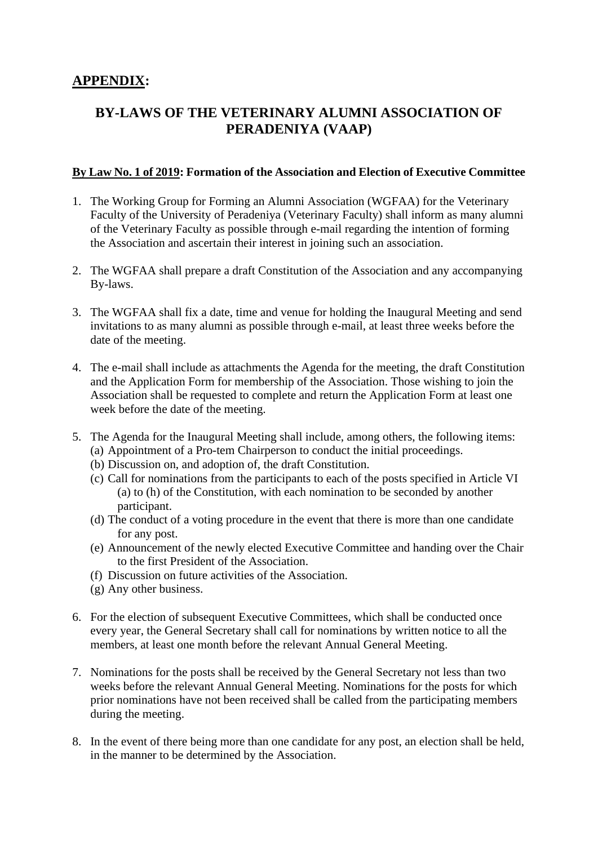## **APPENDIX:**

# **BY-LAWS OF THE VETERINARY ALUMNI ASSOCIATION OF PERADENIYA (VAAP)**

#### **By Law No. 1 of 2019: Formation of the Association and Election of Executive Committee**

- 1. The Working Group for Forming an Alumni Association (WGFAA) for the Veterinary Faculty of the University of Peradeniya (Veterinary Faculty) shall inform as many alumni of the Veterinary Faculty as possible through e-mail regarding the intention of forming the Association and ascertain their interest in joining such an association.
- 2. The WGFAA shall prepare a draft Constitution of the Association and any accompanying By-laws.
- 3. The WGFAA shall fix a date, time and venue for holding the Inaugural Meeting and send invitations to as many alumni as possible through e-mail, at least three weeks before the date of the meeting.
- 4. The e-mail shall include as attachments the Agenda for the meeting, the draft Constitution and the Application Form for membership of the Association. Those wishing to join the Association shall be requested to complete and return the Application Form at least one week before the date of the meeting.
- 5. The Agenda for the Inaugural Meeting shall include, among others, the following items: (a) Appointment of a Pro-tem Chairperson to conduct the initial proceedings.
	- (b) Discussion on, and adoption of, the draft Constitution.
	- (c) Call for nominations from the participants to each of the posts specified in Article VI (a) to (h) of the Constitution, with each nomination to be seconded by another participant.
	- (d) The conduct of a voting procedure in the event that there is more than one candidate for any post.
	- (e) Announcement of the newly elected Executive Committee and handing over the Chair to the first President of the Association.
	- (f) Discussion on future activities of the Association.
	- (g) Any other business.
- 6. For the election of subsequent Executive Committees, which shall be conducted once every year, the General Secretary shall call for nominations by written notice to all the members, at least one month before the relevant Annual General Meeting.
- 7. Nominations for the posts shall be received by the General Secretary not less than two weeks before the relevant Annual General Meeting. Nominations for the posts for which prior nominations have not been received shall be called from the participating members during the meeting.
- 8. In the event of there being more than one candidate for any post, an election shall be held, in the manner to be determined by the Association.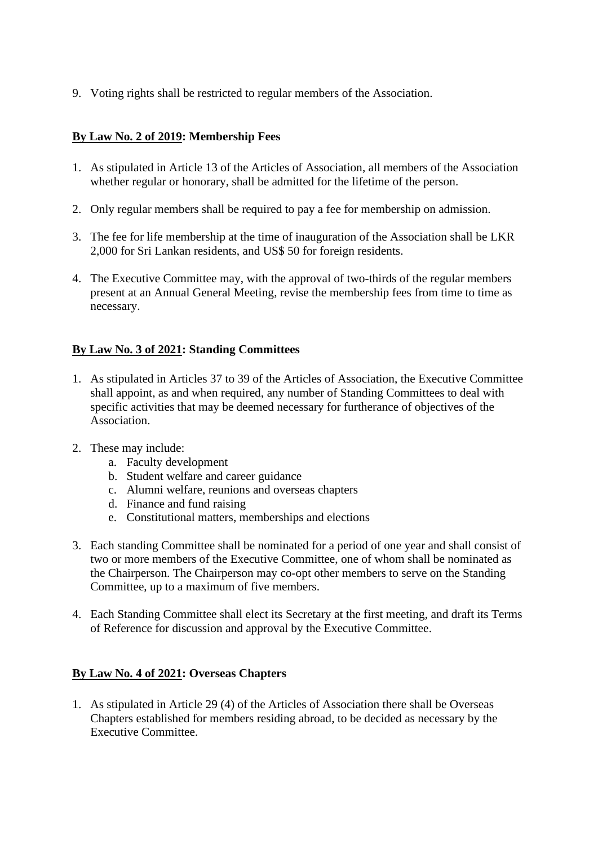9. Voting rights shall be restricted to regular members of the Association.

#### **By Law No. 2 of 2019: Membership Fees**

- 1. As stipulated in Article 13 of the Articles of Association, all members of the Association whether regular or honorary, shall be admitted for the lifetime of the person.
- 2. Only regular members shall be required to pay a fee for membership on admission.
- 3. The fee for life membership at the time of inauguration of the Association shall be LKR 2,000 for Sri Lankan residents, and US\$ 50 for foreign residents.
- 4. The Executive Committee may, with the approval of two-thirds of the regular members present at an Annual General Meeting, revise the membership fees from time to time as necessary.

#### **By Law No. 3 of 2021: Standing Committees**

- 1. As stipulated in Articles 37 to 39 of the Articles of Association, the Executive Committee shall appoint, as and when required, any number of Standing Committees to deal with specific activities that may be deemed necessary for furtherance of objectives of the Association.
- 2. These may include:
	- a. Faculty development
	- b. Student welfare and career guidance
	- c. Alumni welfare, reunions and overseas chapters
	- d. Finance and fund raising
	- e. Constitutional matters, memberships and elections
- 3. Each standing Committee shall be nominated for a period of one year and shall consist of two or more members of the Executive Committee, one of whom shall be nominated as the Chairperson. The Chairperson may co-opt other members to serve on the Standing Committee, up to a maximum of five members.
- 4. Each Standing Committee shall elect its Secretary at the first meeting, and draft its Terms of Reference for discussion and approval by the Executive Committee.

#### **By Law No. 4 of 2021: Overseas Chapters**

1. As stipulated in Article 29 (4) of the Articles of Association there shall be Overseas Chapters established for members residing abroad, to be decided as necessary by the Executive Committee.